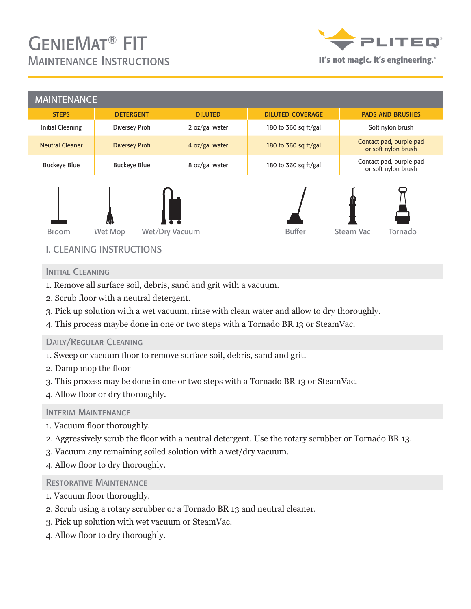# GenieMat® FIT Maintenance Instructions **It's not magic, it's engineering.**®



| <b>MAINTENANCE</b>                             |                       |                |                         |                                                |  |
|------------------------------------------------|-----------------------|----------------|-------------------------|------------------------------------------------|--|
| <b>STEPS</b>                                   | <b>DETERGENT</b>      | <b>DILUTED</b> | <b>DILUTED COVERAGE</b> | <b>PADS AND BRUSHES</b>                        |  |
| <b>Initial Cleaning</b>                        | Diversey Profi        | 2 oz/gal water | 180 to 360 sq ft/gal    | Soft nylon brush                               |  |
| <b>Neutral Cleaner</b>                         | <b>Diversey Profi</b> | 4 oz/gal water | 180 to 360 sq ft/gal    | Contact pad, purple pad<br>or soft nylon brush |  |
| <b>Buckeye Blue</b>                            | <b>Buckeye Blue</b>   | 8 oz/gal water | 180 to 360 sq ft/gal    | Contact pad, purple pad<br>or soft nylon brush |  |
| 川<br>Wet Mop<br>Wet/Dry Vacuum<br><b>Broom</b> |                       |                | <b>Buffer</b>           | Tornado<br>Steam Vac                           |  |

## I. CLEANING INSTRUCTIONS

#### INITIAL CLEANING

- 1. Remove all surface soil, debris, sand and grit with a vacuum.
- 2. Scrub floor with a neutral detergent.
- 3. Pick up solution with a wet vacuum, rinse with clean water and allow to dry thoroughly.
- 4. This process maybe done in one or two steps with a Tornado BR 13 or SteamVac.

#### Daily/Regular Cleaning

- 1. Sweep or vacuum floor to remove surface soil, debris, sand and grit.
- 2. Damp mop the floor
- 3. This process may be done in one or two steps with a Tornado BR 13 or SteamVac.
- 4. Allow floor or dry thoroughly.

#### INTERIM MAINTENANCE

- 1. Vacuum floor thoroughly.
- 2. Aggressively scrub the floor with a neutral detergent. Use the rotary scrubber or Tornado BR 13.
- 3. Vacuum any remaining soiled solution with a wet/dry vacuum.
- 4. Allow floor to dry thoroughly.

#### Restorative Maintenance

- 1. Vacuum floor thoroughly.
- 2. Scrub using a rotary scrubber or a Tornado BR 13 and neutral cleaner.
- 3. Pick up solution with wet vacuum or SteamVac.
- 4. Allow floor to dry thoroughly.